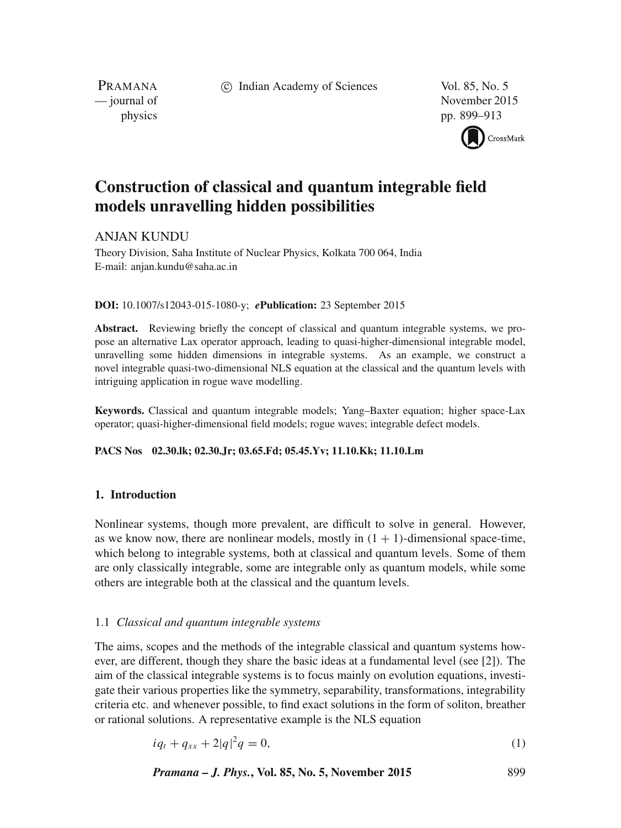c Indian Academy of Sciences Vol. 85, No. 5

PRAMANA

— journal of November 2015 physics pp. 899–913



# **Construction of classical and quantum integrable field models unravelling hidden possibilities**

# ANJAN KUNDU

Theory Division, Saha Institute of Nuclear Physics, Kolkata 700 064, India E-mail: anjan.kundu@saha.ac.in

## **DOI:** 10.1007/s12043-015-1080-y; *e***Publication:** 23 September 2015

**Abstract.** Reviewing briefly the concept of classical and quantum integrable systems, we propose an alternative Lax operator approach, leading to quasi-higher-dimensional integrable model, unravelling some hidden dimensions in integrable systems. As an example, we construct a novel integrable quasi-two-dimensional NLS equation at the classical and the quantum levels with intriguing application in rogue wave modelling.

**Keywords.** Classical and quantum integrable models; Yang–Baxter equation; higher space-Lax operator; quasi-higher-dimensional field models; rogue waves; integrable defect models.

## **PACS Nos 02.30.lk; 02.30.Jr; 03.65.Fd; 05.45.Yv; 11.10.Kk; 11.10.Lm**

## **1. Introduction**

Nonlinear systems, though more prevalent, are difficult to solve in general. However, as we know now, there are nonlinear models, mostly in  $(1 + 1)$ -dimensional space-time, which belong to integrable systems, both at classical and quantum levels. Some of them are only classically integrable, some are integrable only as quantum models, while some others are integrable both at the classical and the quantum levels.

## 1.1 *Classical and quantum integrable systems*

The aims, scopes and the methods of the integrable classical and quantum systems however, are different, though they share the basic ideas at a fundamental level (see [2]). The aim of the classical integrable systems is to focus mainly on evolution equations, investigate their various properties like the symmetry, separability, transformations, integrability criteria etc. and whenever possible, to find exact solutions in the form of soliton, breather or rational solutions. A representative example is the NLS equation

$$
iq_t + q_{xx} + 2|q|^2 q = 0,
$$
\n(1)

*Pramana – J. Phys.***, Vol. 85, No. 5, November 2015** 899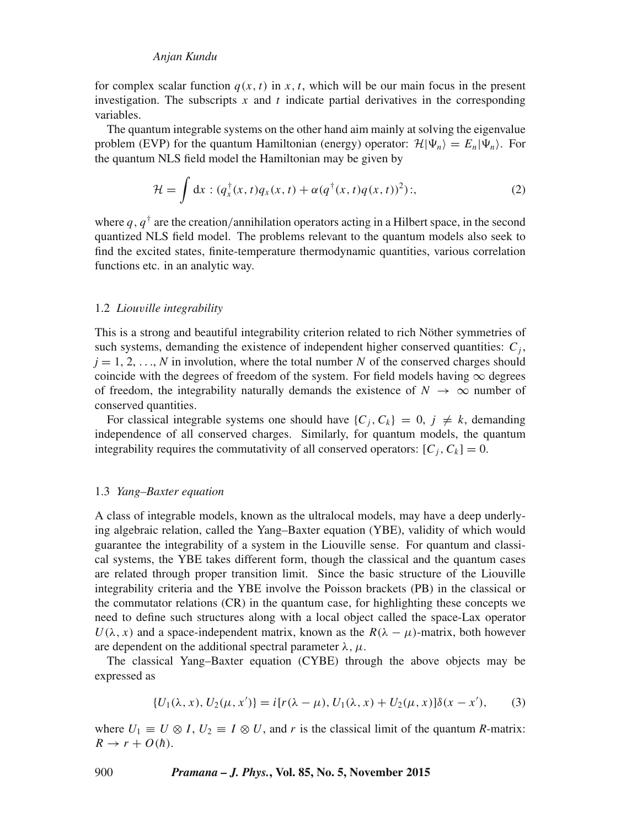for complex scalar function  $q(x, t)$  in x, t, which will be our main focus in the present investigation. The subscripts x and t indicate partial derivatives in the corresponding variables.

The quantum integrable systems on the other hand aim mainly at solving the eigenvalue problem (EVP) for the quantum Hamiltonian (energy) operator:  $\mathcal{H}|\Psi_n\rangle = E_n|\Psi_n\rangle$ . For the quantum NLS field model the Hamiltonian may be given by

$$
\mathcal{H} = \int \mathrm{d}x : (q_x^{\dagger}(x, t)q_x(x, t) + \alpha(q^{\dagger}(x, t)q(x, t))^2); \tag{2}
$$

where  $q, q^{\dagger}$  are the creation/annihilation operators acting in a Hilbert space, in the second quantized NLS field model. The problems relevant to the quantum models also seek to find the excited states, finite-temperature thermodynamic quantities, various correlation functions etc. in an analytic way.

## 1.2 *Liou*v*ille integrability*

This is a strong and beautiful integrability criterion related to rich Nöther symmetries of such systems, demanding the existence of independent higher conserved quantities:  $C_j$ ,  $j = 1, 2, \ldots, N$  in involution, where the total number N of the conserved charges should coincide with the degrees of freedom of the system. For field models having  $\infty$  degrees of freedom, the integrability naturally demands the existence of  $N \to \infty$  number of conserved quantities.

For classical integrable systems one should have  $\{C_i, C_k\} = 0, j \neq k$ , demanding independence of all conserved charges. Similarly, for quantum models, the quantum integrability requires the commutativity of all conserved operators:  $[C_i, C_k] = 0$ .

## 1.3 *Yang–Baxter equation*

A class of integrable models, known as the ultralocal models, may have a deep underlying algebraic relation, called the Yang–Baxter equation (YBE), validity of which would guarantee the integrability of a system in the Liouville sense. For quantum and classical systems, the YBE takes different form, though the classical and the quantum cases are related through proper transition limit. Since the basic structure of the Liouville integrability criteria and the YBE involve the Poisson brackets (PB) in the classical or the commutator relations (CR) in the quantum case, for highlighting these concepts we need to define such structures along with a local object called the space-Lax operator  $U(\lambda, x)$  and a space-independent matrix, known as the  $R(\lambda - \mu)$ -matrix, both however are dependent on the additional spectral parameter  $\lambda, \mu$ .

The classical Yang–Baxter equation (CYBE) through the above objects may be expressed as

$$
\{U_1(\lambda, x), U_2(\mu, x')\} = i[r(\lambda - \mu), U_1(\lambda, x) + U_2(\mu, x)]\delta(x - x'),
$$
 (3)

where  $U_1 \equiv U \otimes I$ ,  $U_2 \equiv I \otimes U$ , and r is the classical limit of the quantum *R*-matrix:  $R \rightarrow r + O(\hbar)$ .

900 *Pramana – J. Phys.***, Vol. 85, No. 5, November 2015**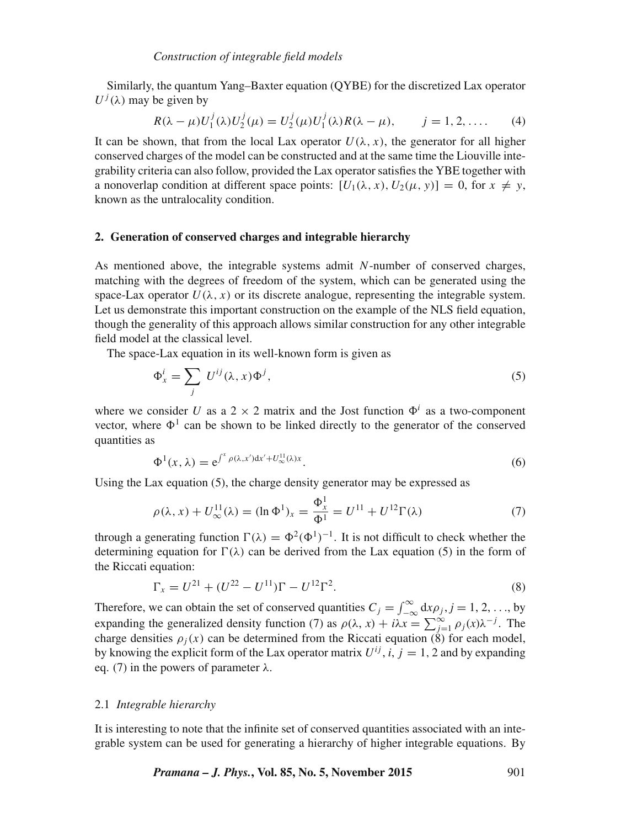Similarly, the quantum Yang–Baxter equation (QYBE) for the discretized Lax operator  $U^{j}(\lambda)$  may be given by

$$
R(\lambda - \mu)U_1^j(\lambda)U_2^j(\mu) = U_2^j(\mu)U_1^j(\lambda)R(\lambda - \mu), \qquad j = 1, 2, .... \tag{4}
$$

It can be shown, that from the local Lax operator  $U(\lambda, x)$ , the generator for all higher conserved charges of the model can be constructed and at the same time the Liouville integrability criteria can also follow, provided the Lax operator satisfies the YBE together with a nonoverlap condition at different space points:  $[U_1(\lambda, x), U_2(\mu, y)] = 0$ , for  $x \neq y$ , known as the untralocality condition.

## **2. Generation of conserved charges and integrable hierarchy**

As mentioned above, the integrable systems admit N-number of conserved charges, matching with the degrees of freedom of the system, which can be generated using the space-Lax operator  $U(\lambda, x)$  or its discrete analogue, representing the integrable system. Let us demonstrate this important construction on the example of the NLS field equation, though the generality of this approach allows similar construction for any other integrable field model at the classical level.

The space-Lax equation in its well-known form is given as

$$
\Phi_x^i = \sum_j U^{ij}(\lambda, x) \Phi^j,\tag{5}
$$

where we consider U as a 2  $\times$  2 matrix and the Jost function  $\Phi^i$  as a two-component vector, where  $\Phi^1$  can be shown to be linked directly to the generator of the conserved quantities as

$$
\Phi^1(x,\lambda) = e^{\int^x \rho(\lambda,x')dx' + U^{\text{II}}_{\infty}(\lambda)x}.
$$
\n(6)

Using the Lax equation (5), the charge density generator may be expressed as

$$
\rho(\lambda, x) + U_{\infty}^{11}(\lambda) = (\ln \Phi^1)_x = \frac{\Phi_x^1}{\Phi^1} = U^{11} + U^{12} \Gamma(\lambda)
$$
\n(7)

through a generating function  $\Gamma(\lambda) = \Phi^2(\Phi^1)^{-1}$ . It is not difficult to check whether the determining equation for  $\Gamma(\lambda)$  can be derived from the Lax equation (5) in the form of the Riccati equation:

$$
\Gamma_x = U^{21} + (U^{22} - U^{11})\Gamma - U^{12}\Gamma^2.
$$
\n(8)

Therefore, we can obtain the set of conserved quantities  $C_j = \int_{-\infty}^{\infty} dx \rho_j$ ,  $j = 1, 2, ...,$  by expanding the generalized density function (7) as  $\rho(\lambda, x) + i\lambda x = \sum_{j=1}^{\infty} \rho_j(x) \lambda^{-j}$ . The charge densities  $\rho_i(x)$  can be determined from the Riccati equation (8) for each model, by knowing the explicit form of the Lax operator matrix  $U^{ij}$ , *i*,  $j = 1, 2$  and by expanding eq. (7) in the powers of parameter  $\lambda$ .

## 2.1 *Integrable hierarchy*

It is interesting to note that the infinite set of conserved quantities associated with an integrable system can be used for generating a hierarchy of higher integrable equations. By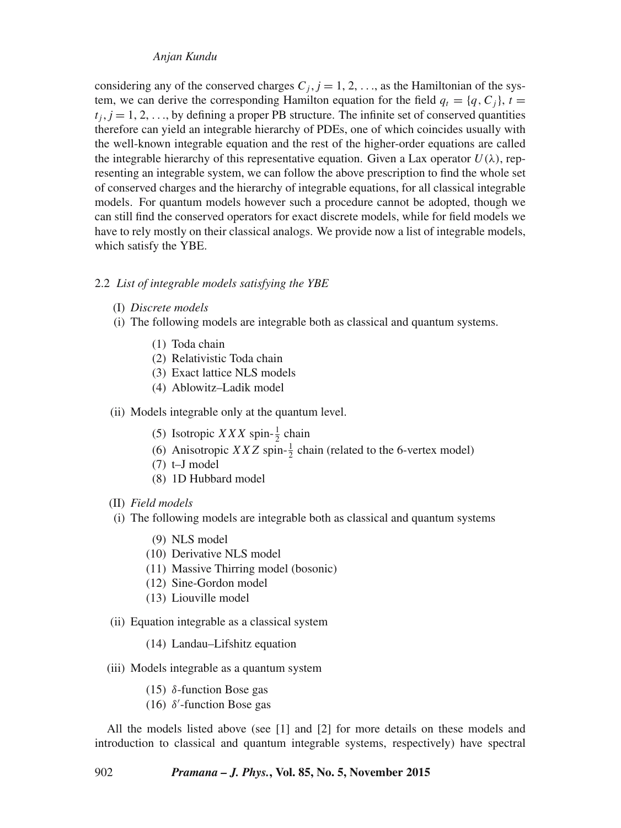considering any of the conserved charges  $C_j$ ,  $j = 1, 2, \ldots$ , as the Hamiltonian of the system, we can derive the corresponding Hamilton equation for the field  $q_t = \{q, C_i\}$ ,  $t =$  $t_i$ ,  $j = 1, 2, \ldots$ , by defining a proper PB structure. The infinite set of conserved quantities therefore can yield an integrable hierarchy of PDEs, one of which coincides usually with the well-known integrable equation and the rest of the higher-order equations are called the integrable hierarchy of this representative equation. Given a Lax operator  $U(\lambda)$ , representing an integrable system, we can follow the above prescription to find the whole set of conserved charges and the hierarchy of integrable equations, for all classical integrable models. For quantum models however such a procedure cannot be adopted, though we can still find the conserved operators for exact discrete models, while for field models we have to rely mostly on their classical analogs. We provide now a list of integrable models, which satisfy the YBE.

## 2.2 *List of integrable models satisfying the YBE*

- (I) *Discrete models*
- (i) The following models are integrable both as classical and quantum systems.
	- (1) Toda chain
	- (2) Relativistic Toda chain
	- (3) Exact lattice NLS models
	- (4) Ablowitz–Ladik model

(ii) Models integrable only at the quantum level.

- (5) Isotropic *XXX* spin- $\frac{1}{2}$  chain
- (6) Anisotropic *XXZ* spin- $\frac{1}{2}$  chain (related to the 6-vertex model)
- (7) t–J model
- (8) 1D Hubbard model
- (II) *Field models*
- (i) The following models are integrable both as classical and quantum systems
	- (9) NLS model
	- (10) Derivative NLS model
	- (11) Massive Thirring model (bosonic)
	- (12) Sine-Gordon model
	- (13) Liouville model
- (ii) Equation integrable as a classical system
	- (14) Landau–Lifshitz equation
- (iii) Models integrable as a quantum system
	- (15) δ-function Bose gas
	- (16)  $\delta'$ -function Bose gas

All the models listed above (see [1] and [2] for more details on these models and introduction to classical and quantum integrable systems, respectively) have spectral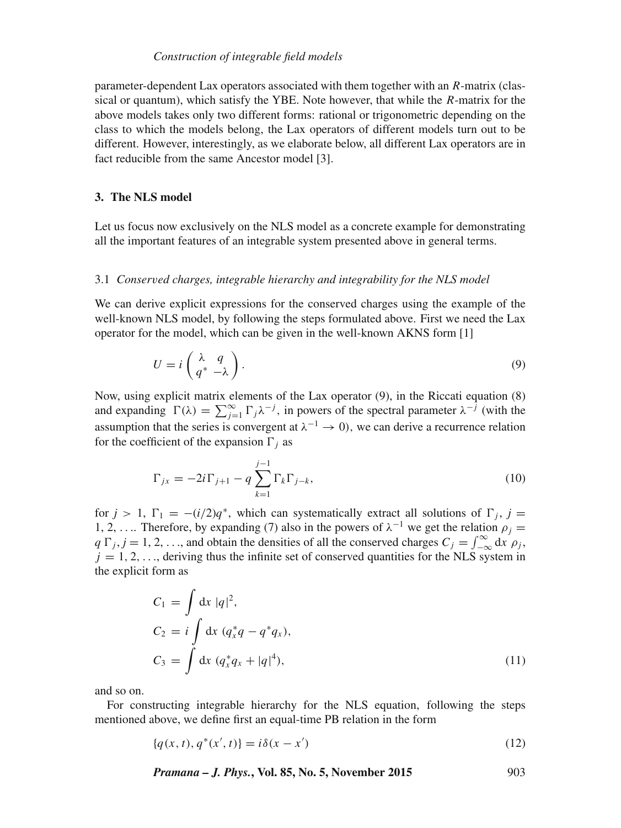## *Construction of integrable field models*

parameter-dependent Lax operators associated with them together with an R-matrix (classical or quantum), which satisfy the YBE. Note however, that while the R-matrix for the above models takes only two different forms: rational or trigonometric depending on the class to which the models belong, the Lax operators of different models turn out to be different. However, interestingly, as we elaborate below, all different Lax operators are in fact reducible from the same Ancestor model [3].

## **3. The NLS model**

Let us focus now exclusively on the NLS model as a concrete example for demonstrating all the important features of an integrable system presented above in general terms.

## 3.1 *Conser*v*ed charges, integrable hierarchy and integrability for the NLS model*

We can derive explicit expressions for the conserved charges using the example of the well-known NLS model, by following the steps formulated above. First we need the Lax operator for the model, which can be given in the well-known AKNS form [1]

$$
U = i \begin{pmatrix} \lambda & q \\ q^* & -\lambda \end{pmatrix} . \tag{9}
$$

Now, using explicit matrix elements of the Lax operator (9), in the Riccati equation (8) and expanding  $\Gamma(\lambda) = \sum_{j=1}^{\infty} \Gamma_j \lambda^{-j}$ , in powers of the spectral parameter  $\lambda^{-j}$  (with the assumption that the series is convergent at  $\lambda^{-1} \to 0$ ), we can derive a recurrence relation for the coefficient of the expansion  $\Gamma_i$  as

$$
\Gamma_{jx} = -2i\Gamma_{j+1} - q \sum_{k=1}^{j-1} \Gamma_k \Gamma_{j-k},
$$
\n(10)

for  $j > 1$ ,  $\Gamma_1 = -(i/2)q^*$ , which can systematically extract all solutions of  $\Gamma_j$ ,  $j =$ 1, 2, .... Therefore, by expanding (7) also in the powers of  $\lambda^{-1}$  we get the relation  $\rho_j =$  $q \Gamma_j$ ,  $j = 1, 2, \ldots$ , and obtain the densities of all the conserved charges  $C_j = \int_{-\infty}^{\infty} dx \rho_j$ ,  $j = 1, 2, \ldots$ , deriving thus the infinite set of conserved quantities for the NLS system in the explicit form as

$$
C_1 = \int dx |q|^2,
$$
  
\n
$$
C_2 = i \int dx (q_x^* q - q^* q_x),
$$
  
\n
$$
C_3 = \int dx (q_x^* q_x + |q|^4),
$$
\n(11)

and so on.

For constructing integrable hierarchy for the NLS equation, following the steps mentioned above, we define first an equal-time PB relation in the form

$$
\{q(x,t), q^*(x',t)\} = i\delta(x-x')
$$
\n(12)

*Pramana – J. Phys.***, Vol. 85, No. 5, November 2015** 903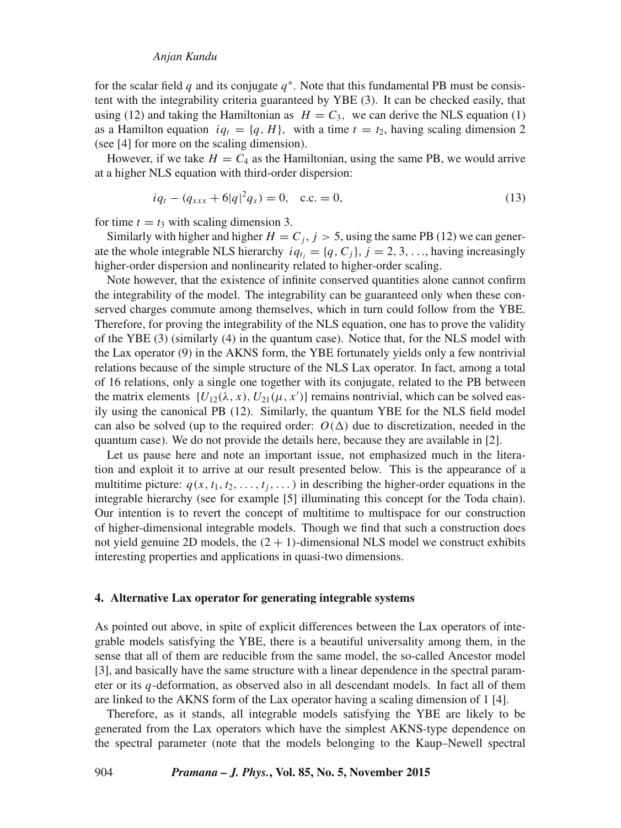for the scalar field  $q$  and its conjugate  $q^*$ . Note that this fundamental PB must be consistent with the integrability criteria guaranteed by YBE (3). It can be checked easily, that using (12) and taking the Hamiltonian as  $H = C_3$ , we can derive the NLS equation (1) as a Hamilton equation  $iq_t = \{q, H\}$ , with a time  $t = t_2$ , having scaling dimension 2 (see [4] for more on the scaling dimension).

However, if we take  $H = C_4$  as the Hamiltonian, using the same PB, we would arrive at a higher NLS equation with third-order dispersion:

$$
iq_t - (q_{xxx} + 6|q|^2 q_x) = 0, \quad \text{c.c.} = 0,
$$
\n(13)

for time  $t = t_3$  with scaling dimension 3.

Similarly with higher and higher  $H = C_j$ ,  $j > 5$ , using the same PB (12) we can generate the whole integrable NLS hierarchy  $iq_t = {q, C_i}, j = 2, 3, \ldots$ , having increasingly higher-order dispersion and nonlinearity related to higher-order scaling.

Note however, that the existence of infinite conserved quantities alone cannot confirm the integrability of the model. The integrability can be guaranteed only when these conserved charges commute among themselves, which in turn could follow from the YBE. Therefore, for proving the integrability of the NLS equation, one has to prove the validity of the YBE (3) (similarly (4) in the quantum case). Notice that, for the NLS model with the Lax operator (9) in the AKNS form, the YBE fortunately yields only a few nontrivial relations because of the simple structure of the NLS Lax operator. In fact, among a total of 16 relations, only a single one together with its conjugate, related to the PB between the matrix elements  $\{U_{12}(\lambda, x), U_{21}(\mu, x')\}$  remains nontrivial, which can be solved easily using the canonical PB (12). Similarly, the quantum YBE for the NLS field model can also be solved (up to the required order:  $O(\Delta)$  due to discretization, needed in the quantum case). We do not provide the details here, because they are available in [2].

Let us pause here and note an important issue, not emphasized much in the literation and exploit it to arrive at our result presented below. This is the appearance of a multitime picture:  $q(x, t_1, t_2, \ldots, t_i, \ldots)$  in describing the higher-order equations in the integrable hierarchy (see for example [5] illuminating this concept for the Toda chain). Our intention is to revert the concept of multitime to multispace for our construction of higher-dimensional integrable models. Though we find that such a construction does not yield genuine 2D models, the  $(2 + 1)$ -dimensional NLS model we construct exhibits interesting properties and applications in quasi-two dimensions.

#### **4. Alternative Lax operator for generating integrable systems**

As pointed out above, in spite of explicit differences between the Lax operators of integrable models satisfying the YBE, there is a beautiful universality among them, in the sense that all of them are reducible from the same model, the so-called Ancestor model [3], and basically have the same structure with a linear dependence in the spectral parameter or its  $q$ -deformation, as observed also in all descendant models. In fact all of them are linked to the AKNS form of the Lax operator having a scaling dimension of 1 [4].

Therefore, as it stands, all integrable models satisfying the YBE are likely to be generated from the Lax operators which have the simplest AKNS-type dependence on the spectral parameter (note that the models belonging to the Kaup–Newell spectral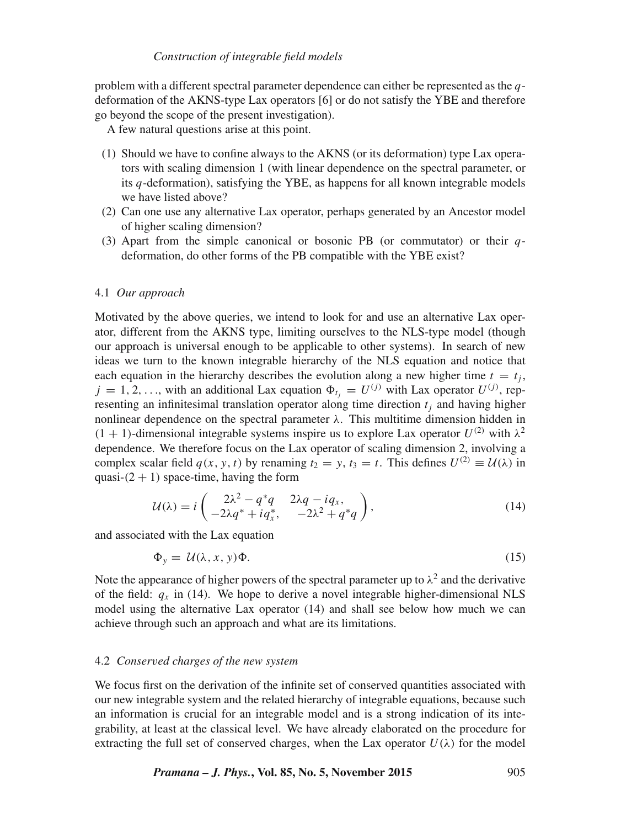problem with a different spectral parameter dependence can either be represented as the  $q$ deformation of the AKNS-type Lax operators [6] or do not satisfy the YBE and therefore go beyond the scope of the present investigation).

A few natural questions arise at this point.

- (1) Should we have to confine always to the AKNS (or its deformation) type Lax operators with scaling dimension 1 (with linear dependence on the spectral parameter, or its  $q$ -deformation), satisfying the YBE, as happens for all known integrable models we have listed above?
- (2) Can one use any alternative Lax operator, perhaps generated by an Ancestor model of higher scaling dimension?
- (3) Apart from the simple canonical or bosonic PB (or commutator) or their  $q$ deformation, do other forms of the PB compatible with the YBE exist?

## 4.1 *Our approach*

Motivated by the above queries, we intend to look for and use an alternative Lax operator, different from the AKNS type, limiting ourselves to the NLS-type model (though our approach is universal enough to be applicable to other systems). In search of new ideas we turn to the known integrable hierarchy of the NLS equation and notice that each equation in the hierarchy describes the evolution along a new higher time  $t = t_i$ ,  $j = 1, 2, \ldots$ , with an additional Lax equation  $\Phi_{t_j} = U^{(j)}$  with Lax operator  $U^{(j)}$ , representing an infinitesimal translation operator along time direction  $t_i$  and having higher nonlinear dependence on the spectral parameter  $λ$ . This multitime dimension hidden in  $(1 + 1)$ -dimensional integrable systems inspire us to explore Lax operator  $U^{(2)}$  with  $\lambda^2$ dependence. We therefore focus on the Lax operator of scaling dimension 2, involving a complex scalar field  $q(x, y, t)$  by renaming  $t_2 = y$ ,  $t_3 = t$ . This defines  $U^{(2)} \equiv \mathcal{U}(\lambda)$  in quasi- $(2 + 1)$  space-time, having the form

$$
\mathcal{U}(\lambda) = i \begin{pmatrix} 2\lambda^2 - q^*q & 2\lambda q - iq_x, \\ -2\lambda q^* + iq_x^*, & -2\lambda^2 + q^*q \end{pmatrix},\tag{14}
$$

and associated with the Lax equation

$$
\Phi_y = \mathcal{U}(\lambda, x, y)\Phi. \tag{15}
$$

Note the appearance of higher powers of the spectral parameter up to  $\lambda^2$  and the derivative of the field:  $q_x$  in (14). We hope to derive a novel integrable higher-dimensional NLS model using the alternative Lax operator (14) and shall see below how much we can achieve through such an approach and what are its limitations.

## 4.2 *Conser*v*ed charges of the new system*

We focus first on the derivation of the infinite set of conserved quantities associated with our new integrable system and the related hierarchy of integrable equations, because such an information is crucial for an integrable model and is a strong indication of its integrability, at least at the classical level. We have already elaborated on the procedure for extracting the full set of conserved charges, when the Lax operator  $U(\lambda)$  for the model

*Pramana – J. Phys.***, Vol. 85, No. 5, November 2015** 905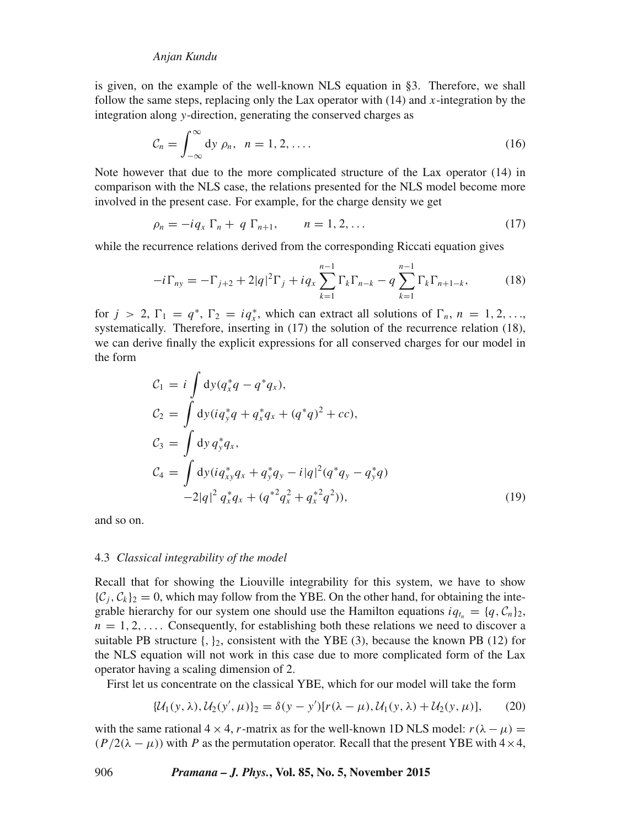is given, on the example of the well-known NLS equation in §3. Therefore, we shall follow the same steps, replacing only the Lax operator with  $(14)$  and x-integration by the integration along y-direction, generating the conserved charges as

$$
\mathcal{C}_n = \int_{-\infty}^{\infty} \mathrm{d}y \; \rho_n, \quad n = 1, 2, \dots. \tag{16}
$$

Note however that due to the more complicated structure of the Lax operator (14) in comparison with the NLS case, the relations presented for the NLS model become more involved in the present case. For example, for the charge density we get

$$
\rho_n = -iq_x \Gamma_n + q \Gamma_{n+1}, \qquad n = 1, 2, \dots \tag{17}
$$

while the recurrence relations derived from the corresponding Riccati equation gives

$$
-i\Gamma_{ny} = -\Gamma_{j+2} + 2|q|^2\Gamma_j + iq_x \sum_{k=1}^{n-1} \Gamma_k \Gamma_{n-k} - q \sum_{k=1}^{n-1} \Gamma_k \Gamma_{n+1-k},
$$
(18)

for  $j > 2$ ,  $\Gamma_1 = q^*$ ,  $\Gamma_2 = iq_x^*$ , which can extract all solutions of  $\Gamma_n$ ,  $n = 1, 2, \ldots$ systematically. Therefore, inserting in  $(17)$  the solution of the recurrence relation  $(18)$ , we can derive finally the explicit expressions for all conserved charges for our model in the form

$$
C_1 = i \int dy (q_x^* q - q^* q_x),
$$
  
\n
$$
C_2 = \int dy (iq_y^* q + q_x^* q_x + (q^* q)^2 + cc),
$$
  
\n
$$
C_3 = \int dy q_y^* q_x,
$$
  
\n
$$
C_4 = \int dy (iq_{xy}^* q_x + q_y^* q_y - i|q|^2 (q^* q_y - q_y^* q))
$$
  
\n
$$
-2|q|^2 q_x^* q_x + (q^{*2} q_x^2 + q_x^{*2} q^2)),
$$
\n(19)

and so on.

## 4.3 *Classical integrability of the model*

Recall that for showing the Liouville integrability for this system, we have to show  $\{\mathcal{C}_i, \mathcal{C}_k\}_2 = 0$ , which may follow from the YBE. On the other hand, for obtaining the integrable hierarchy for our system one should use the Hamilton equations  $iq_{t_n} = \{q, C_n\}_2$ ,  $n = 1, 2, \ldots$  Consequently, for establishing both these relations we need to discover a suitable PB structure  $\{, \}_2$ , consistent with the YBE (3), because the known PB (12) for the NLS equation will not work in this case due to more complicated form of the Lax operator having a scaling dimension of 2.

First let us concentrate on the classical YBE, which for our model will take the form

$$
\{\mathcal{U}_1(y,\lambda),\mathcal{U}_2(y',\mu)\}_2 = \delta(y-y')[r(\lambda-\mu),\mathcal{U}_1(y,\lambda)+\mathcal{U}_2(y,\mu)],\tag{20}
$$

with the same rational  $4 \times 4$ , r-matrix as for the well-known 1D NLS model:  $r(\lambda - \mu)$  =  $(P/2(\lambda - \mu))$  with P as the permutation operator. Recall that the present YBE with  $4 \times 4$ ,

## 906 *Pramana – J. Phys.***, Vol. 85, No. 5, November 2015**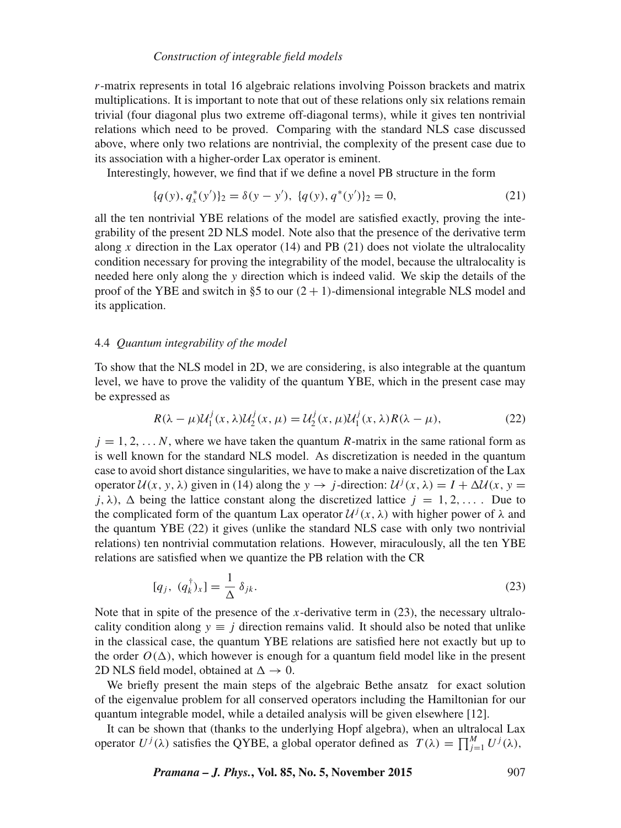## *Construction of integrable field models*

 $r$ -matrix represents in total 16 algebraic relations involving Poisson brackets and matrix multiplications. It is important to note that out of these relations only six relations remain trivial (four diagonal plus two extreme off-diagonal terms), while it gives ten nontrivial relations which need to be proved. Comparing with the standard NLS case discussed above, where only two relations are nontrivial, the complexity of the present case due to its association with a higher-order Lax operator is eminent.

Interestingly, however, we find that if we define a novel PB structure in the form

$$
\{q(y), q_x^*(y')\}_2 = \delta(y - y'), \ \{q(y), q^*(y')\}_2 = 0,\tag{21}
$$

all the ten nontrivial YBE relations of the model are satisfied exactly, proving the integrability of the present 2D NLS model. Note also that the presence of the derivative term along x direction in the Lax operator  $(14)$  and PB  $(21)$  does not violate the ultralocality condition necessary for proving the integrability of the model, because the ultralocality is needed here only along the y direction which is indeed valid. We skip the details of the proof of the YBE and switch in §5 to our  $(2 + 1)$ -dimensional integrable NLS model and its application.

## 4.4 *Quantum integrability of the model*

To show that the NLS model in 2D, we are considering, is also integrable at the quantum level, we have to prove the validity of the quantum YBE, which in the present case may be expressed as

$$
R(\lambda - \mu)U_1^j(x, \lambda)U_2^j(x, \mu) = U_2^j(x, \mu)U_1^j(x, \lambda)R(\lambda - \mu),
$$
\n(22)

 $j = 1, 2, \dots N$ , where we have taken the quantum R-matrix in the same rational form as is well known for the standard NLS model. As discretization is needed in the quantum case to avoid short distance singularities, we have to make a naive discretization of the Lax operator  $U(x, y, \lambda)$  given in (14) along the  $y \to j$ -direction:  $U^{j}(x, \lambda) = I + \Delta U(x, y =$  $j, \lambda$ ),  $\Delta$  being the lattice constant along the discretized lattice  $j = 1, 2, \ldots$ . Due to the complicated form of the quantum Lax operator  $\mathcal{U}^j(x, \lambda)$  with higher power of  $\lambda$  and the quantum YBE (22) it gives (unlike the standard NLS case with only two nontrivial relations) ten nontrivial commutation relations. However, miraculously, all the ten YBE relations are satisfied when we quantize the PB relation with the CR

$$
[q_j, (q_k^{\dagger})_x] = \frac{1}{\Delta} \delta_{jk}.
$$
\n(23)

Note that in spite of the presence of the x-derivative term in  $(23)$ , the necessary ultralocality condition along  $y \equiv i$  direction remains valid. It should also be noted that unlike in the classical case, the quantum YBE relations are satisfied here not exactly but up to the order  $O(\Delta)$ , which however is enough for a quantum field model like in the present 2D NLS field model, obtained at  $\Delta \rightarrow 0$ .

We briefly present the main steps of the algebraic Bethe ansatz for exact solution of the eigenvalue problem for all conserved operators including the Hamiltonian for our quantum integrable model, while a detailed analysis will be given elsewhere [12].

It can be shown that (thanks to the underlying Hopf algebra), when an ultralocal Lax operator  $U^j(\lambda)$  satisfies the QYBE, a global operator defined as  $T(\lambda) = \prod_{j=1}^M U^j(\lambda)$ ,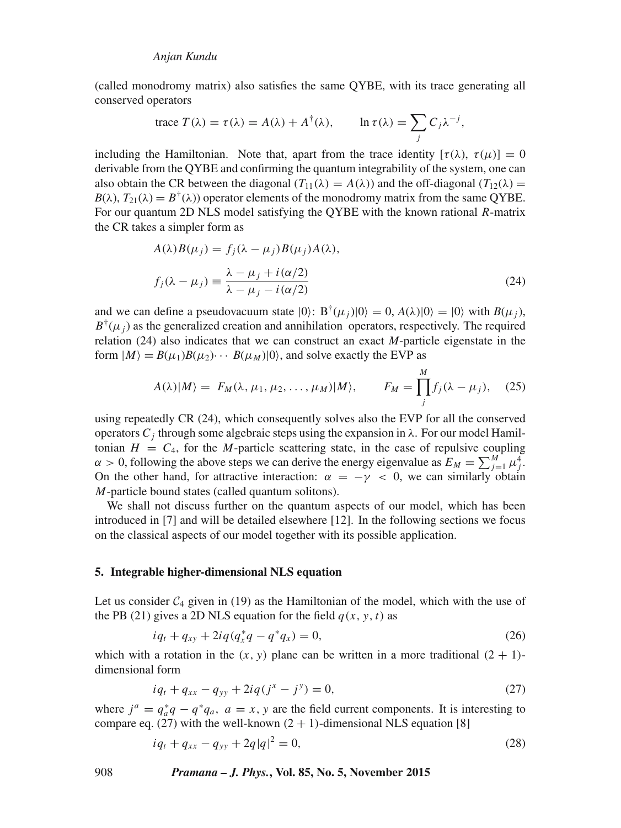(called monodromy matrix) also satisfies the same QYBE, with its trace generating all conserved operators

trace 
$$
T(\lambda) = \tau(\lambda) = A(\lambda) + A^{\dagger}(\lambda)
$$
,  $\ln \tau(\lambda) = \sum_{j} C_j \lambda^{-j}$ ,

including the Hamiltonian. Note that, apart from the trace identity  $[\tau(\lambda), \tau(\mu)] = 0$ derivable from the QYBE and confirming the quantum integrability of the system, one can also obtain the CR between the diagonal  $(T_{11}(\lambda) = A(\lambda))$  and the off-diagonal  $(T_{12}(\lambda) =$  $B(\lambda)$ ,  $T_{21}(\lambda) = B^{\dagger}(\lambda)$  operator elements of the monodromy matrix from the same QYBE. For our quantum 2D NLS model satisfying the QYBE with the known rational *-matrix* the CR takes a simpler form as

$$
A(\lambda)B(\mu_j) = f_j(\lambda - \mu_j)B(\mu_j)A(\lambda),
$$
  
\n
$$
f_j(\lambda - \mu_j) \equiv \frac{\lambda - \mu_j + i(\alpha/2)}{\lambda - \mu_j - i(\alpha/2)}
$$
\n(24)

and we can define a pseudovacuum state  $|0\rangle$ :  $B^{\dagger}(\mu_j)|0\rangle = 0$ ,  $A(\lambda)|0\rangle = |0\rangle$  with  $B(\mu_j)$ ,  $B^{\dagger}(\mu_j)$  as the generalized creation and annihilation operators, respectively. The required relation (24) also indicates that we can construct an exact *M*-particle eigenstate in the form  $|M\rangle = B(\mu_1)B(\mu_2)\cdots B(\mu_M)|0\rangle$ , and solve exactly the EVP as

$$
A(\lambda)|M\rangle = F_M(\lambda, \mu_1, \mu_2, \dots, \mu_M)|M\rangle, \qquad F_M = \prod_j^M f_j(\lambda - \mu_j), \quad (25)
$$

using repeatedly CR (24), which consequently solves also the EVP for all the conserved operators  $C_i$  through some algebraic steps using the expansion in  $\lambda$ . For our model Hamiltonian  $H = C_4$ , for the M-particle scattering state, in the case of repulsive coupling  $\alpha > 0$ , following the above steps we can derive the energy eigenvalue as  $E_M = \sum_{j=1}^{M} \mu_j^4$ . On the other hand, for attractive interaction:  $\alpha = -\gamma < 0$ , we can similarly obtain M-particle bound states (called quantum solitons).

We shall not discuss further on the quantum aspects of our model, which has been introduced in [7] and will be detailed elsewhere [12]. In the following sections we focus on the classical aspects of our model together with its possible application.

## **5. Integrable higher-dimensional NLS equation**

Let us consider  $C_4$  given in (19) as the Hamiltonian of the model, which with the use of the PB (21) gives a 2D NLS equation for the field  $q(x, y, t)$  as

$$
iq_t + q_{xy} + 2iq(q_x^*q - q^*q_x) = 0,
$$
\n(26)

which with a rotation in the  $(x, y)$  plane can be written in a more traditional  $(2 + 1)$ dimensional form

$$
iq_t + q_{xx} - q_{yy} + 2iq(j^x - j^y) = 0,
$$
\n(27)

where  $j^a = q_a^*q - q^*q_a$ ,  $a = x$ , y are the field current components. It is interesting to compare eq. (27) with the well-known  $(2 + 1)$ -dimensional NLS equation [8]

$$
iq_t + q_{xx} - q_{yy} + 2q|q|^2 = 0,
$$
\n(28)

908 *Pramana – J. Phys.***, Vol. 85, No. 5, November 2015**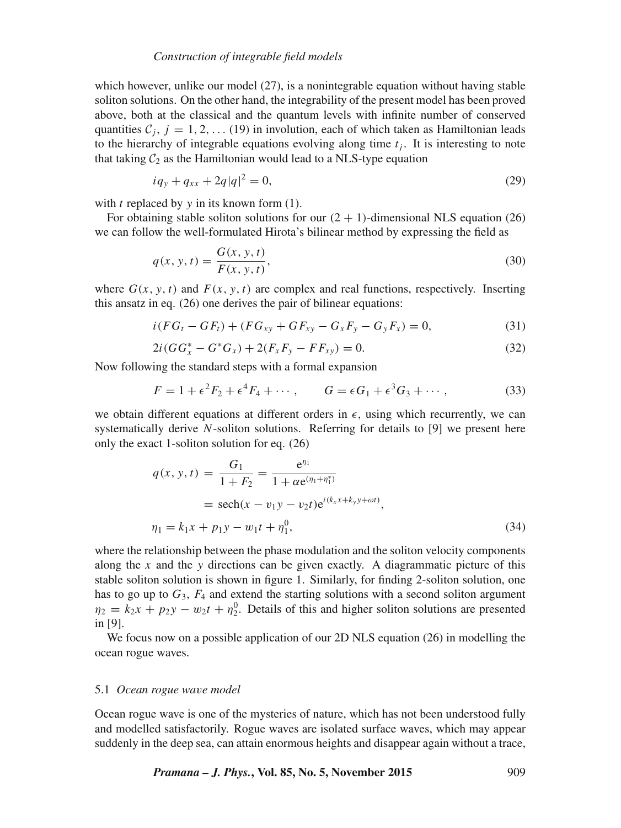## *Construction of integrable field models*

which however, unlike our model (27), is a nonintegrable equation without having stable soliton solutions. On the other hand, the integrability of the present model has been proved above, both at the classical and the quantum levels with infinite number of conserved quantities  $C_j$ ,  $j = 1, 2, \ldots (19)$  in involution, each of which taken as Hamiltonian leads to the hierarchy of integrable equations evolving along time  $t_i$ . It is interesting to note that taking  $C_2$  as the Hamiltonian would lead to a NLS-type equation

$$
iq_y + q_{xx} + 2q|q|^2 = 0,\t\t(29)
$$

with  $t$  replaced by  $y$  in its known form (1).

For obtaining stable soliton solutions for our  $(2 + 1)$ -dimensional NLS equation (26) we can follow the well-formulated Hirota's bilinear method by expressing the field as

$$
q(x, y, t) = \frac{G(x, y, t)}{F(x, y, t)},
$$
\n(30)

where  $G(x, y, t)$  and  $F(x, y, t)$  are complex and real functions, respectively. Inserting this ansatz in eq. (26) one derives the pair of bilinear equations:

$$
i(FG_t - GF_t) + (FG_{xy} + GF_{xy} - G_xF_y - G_yF_x) = 0,
$$
\n(31)

$$
2i(GG_x^* - G^*G_x) + 2(F_xF_y - FF_{xy}) = 0.
$$
\n(32)

Now following the standard steps with a formal expansion

$$
F = 1 + \epsilon^2 F_2 + \epsilon^4 F_4 + \cdots, \qquad G = \epsilon G_1 + \epsilon^3 G_3 + \cdots,
$$
 (33)

we obtain different equations at different orders in  $\epsilon$ , using which recurrently, we can systematically derive N-soliton solutions. Referring for details to [9] we present here only the exact 1-soliton solution for eq. (26)

$$
q(x, y, t) = \frac{G_1}{1 + F_2} = \frac{e^{\eta_1}}{1 + \alpha e^{(\eta_1 + \eta_1^*)}}
$$
  
= sech(x - v\_1y - v\_2t)e<sup>i(k\_x x + k\_y y + \omega t)</sup>,  

$$
\eta_1 = k_1x + p_1y - w_1t + \eta_1^0,
$$
 (34)

where the relationship between the phase modulation and the soliton velocity components along the x and the y directions can be given exactly. A diagrammatic picture of this stable soliton solution is shown in figure 1. Similarly, for finding 2-soliton solution, one has to go up to  $G_3$ ,  $F_4$  and extend the starting solutions with a second soliton argument  $\eta_2 = k_2 x + p_2 y - w_2 t + \eta_2^0$ . Details of this and higher soliton solutions are presented in [9].

We focus now on a possible application of our 2D NLS equation (26) in modelling the ocean rogue waves.

#### 5.1 *Ocean rogue wa*v*e model*

Ocean rogue wave is one of the mysteries of nature, which has not been understood fully and modelled satisfactorily. Rogue waves are isolated surface waves, which may appear suddenly in the deep sea, can attain enormous heights and disappear again without a trace,

*Pramana – J. Phys.*, Vol. 85, No. 5, November 2015 909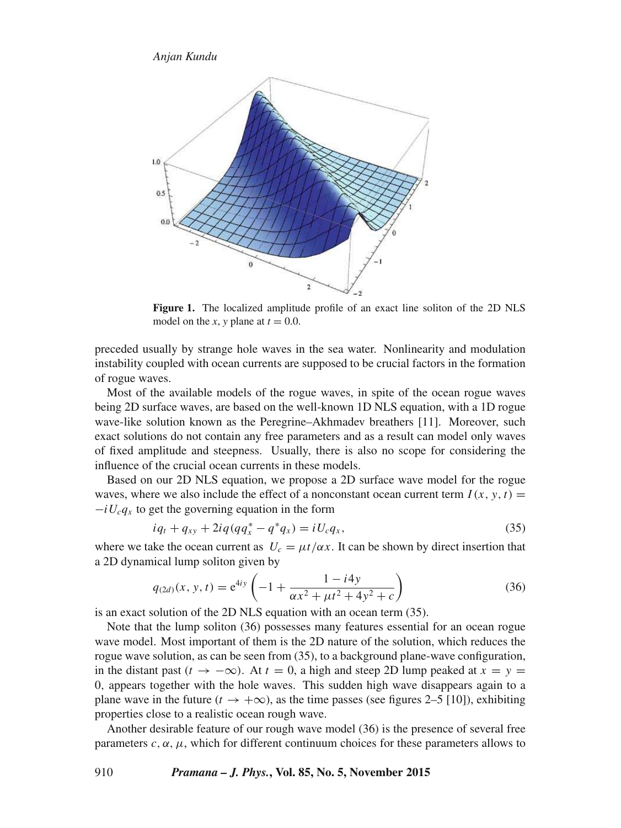

**Figure 1.** The localized amplitude profile of an exact line soliton of the 2D NLS model on the *x*, *y* plane at  $t = 0.0$ .

preceded usually by strange hole waves in the sea water. Nonlinearity and modulation instability coupled with ocean currents are supposed to be crucial factors in the formation of rogue waves.

Most of the available models of the rogue waves, in spite of the ocean rogue waves being 2D surface waves, are based on the well-known 1D NLS equation, with a 1D rogue wave-like solution known as the Peregrine–Akhmadev breathers [11]. Moreover, such exact solutions do not contain any free parameters and as a result can model only waves of fixed amplitude and steepness. Usually, there is also no scope for considering the influence of the crucial ocean currents in these models.

Based on our 2D NLS equation, we propose a 2D surface wave model for the rogue waves, where we also include the effect of a nonconstant ocean current term  $I(x, y, t) =$  $-iU_c q_x$  to get the governing equation in the form

$$
iq_t + q_{xy} + 2iq(qq_x^* - q^*q_x) = iU_c q_x,
$$
\n(35)

where we take the ocean current as  $U_c = \mu t / \alpha x$ . It can be shown by direct insertion that a 2D dynamical lump soliton given by

$$
q_{(2d)}(x, y, t) = e^{4iy} \left( -1 + \frac{1 - i4y}{\alpha x^2 + \mu t^2 + 4y^2 + c} \right)
$$
 (36)

is an exact solution of the 2D NLS equation with an ocean term (35).

Note that the lump soliton (36) possesses many features essential for an ocean rogue wave model. Most important of them is the 2D nature of the solution, which reduces the rogue wave solution, as can be seen from (35), to a background plane-wave configuration, in the distant past ( $t \to -\infty$ ). At  $t = 0$ , a high and steep 2D lump peaked at  $x = y =$ 0, appears together with the hole waves. This sudden high wave disappears again to a plane wave in the future ( $t \rightarrow +\infty$ ), as the time passes (see figures 2–5 [10]), exhibiting properties close to a realistic ocean rough wave.

Another desirable feature of our rough wave model (36) is the presence of several free parameters  $c, \alpha, \mu$ , which for different continuum choices for these parameters allows to

910 *Pramana – J. Phys.***, Vol. 85, No. 5, November 2015**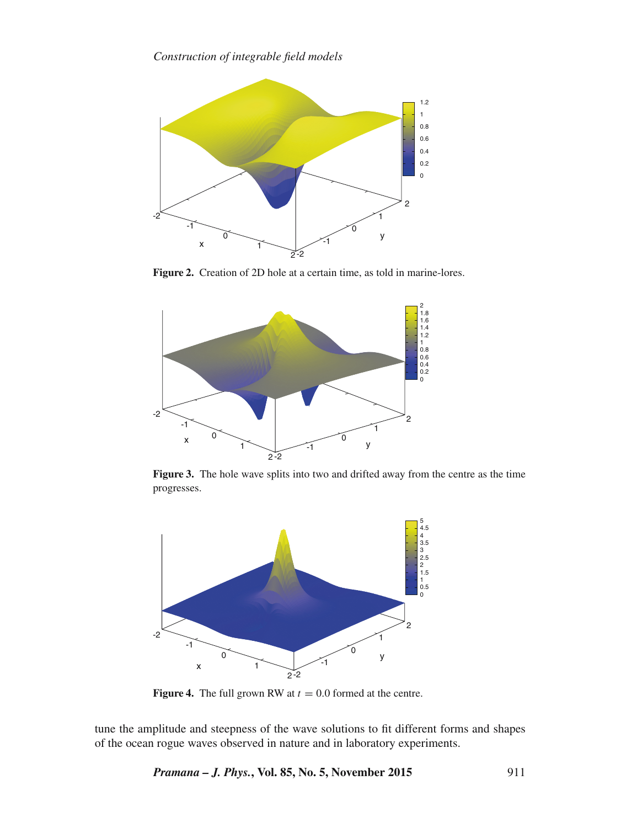

**Figure 2.** Creation of 2D hole at a certain time, as told in marine-lores.



**Figure 3.** The hole wave splits into two and drifted away from the centre as the time progresses.



**Figure 4.** The full grown RW at  $t = 0.0$  formed at the centre.

tune the amplitude and steepness of the wave solutions to fit different forms and shapes of the ocean rogue waves observed in nature and in laboratory experiments.

*Pramana – J. Phys.***, Vol. 85, No. 5, November 2015** 911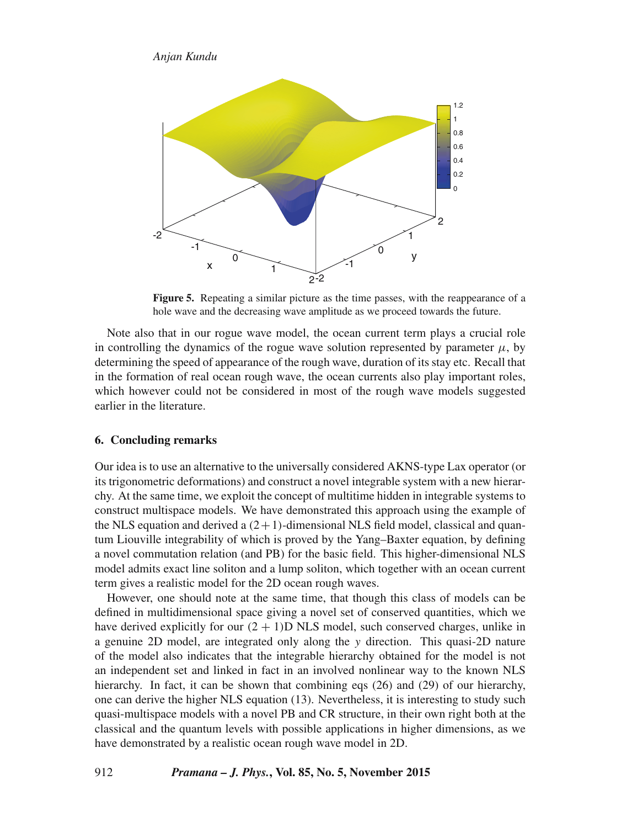

**Figure 5.** Repeating a similar picture as the time passes, with the reappearance of a hole wave and the decreasing wave amplitude as we proceed towards the future.

Note also that in our rogue wave model, the ocean current term plays a crucial role in controlling the dynamics of the rogue wave solution represented by parameter  $\mu$ , by determining the speed of appearance of the rough wave, duration of its stay etc. Recall that in the formation of real ocean rough wave, the ocean currents also play important roles, which however could not be considered in most of the rough wave models suggested earlier in the literature.

## **6. Concluding remarks**

Our idea is to use an alternative to the universally considered AKNS-type Lax operator (or its trigonometric deformations) and construct a novel integrable system with a new hierarchy. At the same time, we exploit the concept of multitime hidden in integrable systems to construct multispace models. We have demonstrated this approach using the example of the NLS equation and derived a  $(2+1)$ -dimensional NLS field model, classical and quantum Liouville integrability of which is proved by the Yang–Baxter equation, by defining a novel commutation relation (and PB) for the basic field. This higher-dimensional NLS model admits exact line soliton and a lump soliton, which together with an ocean current term gives a realistic model for the 2D ocean rough waves.

However, one should note at the same time, that though this class of models can be defined in multidimensional space giving a novel set of conserved quantities, which we have derived explicitly for our  $(2 + 1)$ D NLS model, such conserved charges, unlike in a genuine 2D model, are integrated only along the y direction. This quasi-2D nature of the model also indicates that the integrable hierarchy obtained for the model is not an independent set and linked in fact in an involved nonlinear way to the known NLS hierarchy. In fact, it can be shown that combining eqs (26) and (29) of our hierarchy, one can derive the higher NLS equation (13). Nevertheless, it is interesting to study such quasi-multispace models with a novel PB and CR structure, in their own right both at the classical and the quantum levels with possible applications in higher dimensions, as we have demonstrated by a realistic ocean rough wave model in 2D.